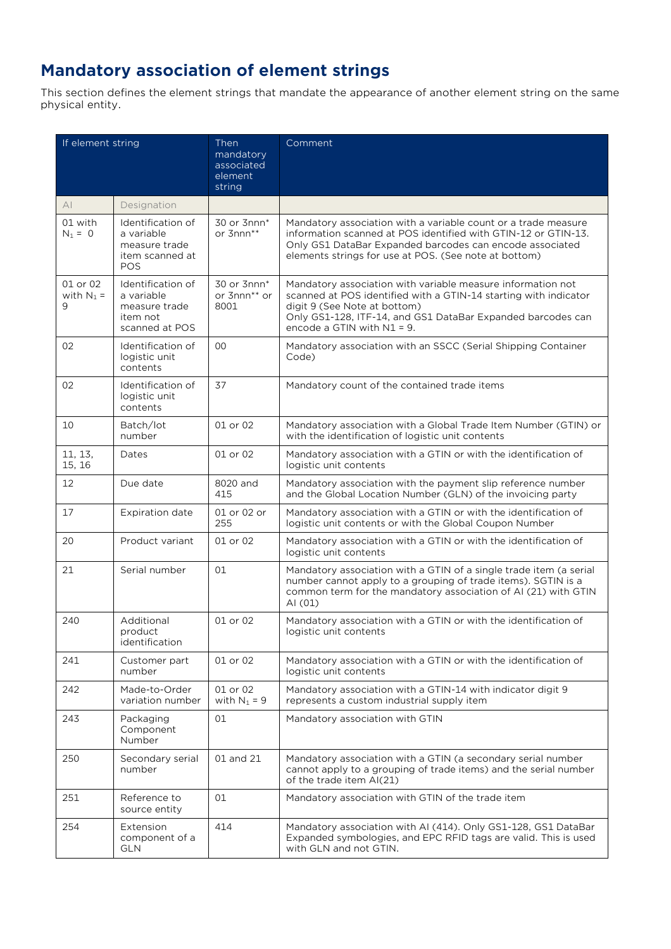## **Mandatory association of element strings**

This section defines the element strings that mandate the appearance of another element string on the same physical entity.

| If element string             |                                                                                   | Then<br>mandatory<br>associated<br>element<br>string | Comment                                                                                                                                                                                                                                                         |
|-------------------------------|-----------------------------------------------------------------------------------|------------------------------------------------------|-----------------------------------------------------------------------------------------------------------------------------------------------------------------------------------------------------------------------------------------------------------------|
| AI                            | Designation                                                                       |                                                      |                                                                                                                                                                                                                                                                 |
| 01 with<br>$N_1 = 0$          | Identification of<br>a variable<br>measure trade<br>item scanned at<br><b>POS</b> | 30 or 3nnn*<br>or 3nnn**                             | Mandatory association with a variable count or a trade measure<br>information scanned at POS identified with GTIN-12 or GTIN-13.<br>Only GS1 DataBar Expanded barcodes can encode associated<br>elements strings for use at POS. (See note at bottom)           |
| 01 or 02<br>with $N_1$ =<br>9 | Identification of<br>a variable<br>measure trade<br>item not<br>scanned at POS    | 30 or 3nnn*<br>or 3nnn <sup>**</sup> or<br>8001      | Mandatory association with variable measure information not<br>scanned at POS identified with a GTIN-14 starting with indicator<br>digit 9 (See Note at bottom)<br>Only GS1-128, ITF-14, and GS1 DataBar Expanded barcodes can<br>encode a GTIN with $N1 = 9$ . |
| 02                            | Identification of<br>logistic unit<br>contents                                    | $00\,$                                               | Mandatory association with an SSCC (Serial Shipping Container<br>Code)                                                                                                                                                                                          |
| 02                            | Identification of<br>logistic unit<br>contents                                    | 37                                                   | Mandatory count of the contained trade items                                                                                                                                                                                                                    |
| 10                            | Batch/lot<br>number                                                               | 01 or 02                                             | Mandatory association with a Global Trade Item Number (GTIN) or<br>with the identification of logistic unit contents                                                                                                                                            |
| 11, 13,<br>15, 16             | Dates                                                                             | 01 or 02                                             | Mandatory association with a GTIN or with the identification of<br>logistic unit contents                                                                                                                                                                       |
| 12                            | Due date                                                                          | 8020 and<br>415                                      | Mandatory association with the payment slip reference number<br>and the Global Location Number (GLN) of the invoicing party                                                                                                                                     |
| 17                            | <b>Expiration date</b>                                                            | 01 or 02 or<br>255                                   | Mandatory association with a GTIN or with the identification of<br>logistic unit contents or with the Global Coupon Number                                                                                                                                      |
| 20                            | Product variant                                                                   | 01 or 02                                             | Mandatory association with a GTIN or with the identification of<br>logistic unit contents                                                                                                                                                                       |
| 21                            | Serial number                                                                     | 01                                                   | Mandatory association with a GTIN of a single trade item (a serial<br>number cannot apply to a grouping of trade items). SGTIN is a<br>common term for the mandatory association of AI (21) with GTIN<br>AI (01)                                                |
| 240                           | Additional<br>product<br>identification                                           | 01 or 02                                             | Mandatory association with a GTIN or with the identification of<br>logistic unit contents                                                                                                                                                                       |
| 241                           | Customer part<br>number                                                           | 01 or 02                                             | Mandatory association with a GTIN or with the identification of<br>logistic unit contents                                                                                                                                                                       |
| 242                           | Made-to-Order<br>variation number                                                 | 01 or 02<br>with $N_1 = 9$                           | Mandatory association with a GTIN-14 with indicator digit 9<br>represents a custom industrial supply item                                                                                                                                                       |
| 243                           | Packaging<br>Component<br>Number                                                  | 01                                                   | Mandatory association with GTIN                                                                                                                                                                                                                                 |
| 250                           | Secondary serial<br>number                                                        | 01 and 21                                            | Mandatory association with a GTIN (a secondary serial number<br>cannot apply to a grouping of trade items) and the serial number<br>of the trade item AI(21)                                                                                                    |
| 251                           | Reference to<br>source entity                                                     | 01                                                   | Mandatory association with GTIN of the trade item                                                                                                                                                                                                               |
| 254                           | Extension<br>component of a<br><b>GLN</b>                                         | 414                                                  | Mandatory association with AI (414). Only GS1-128, GS1 DataBar<br>Expanded symbologies, and EPC RFID tags are valid. This is used<br>with GLN and not GTIN.                                                                                                     |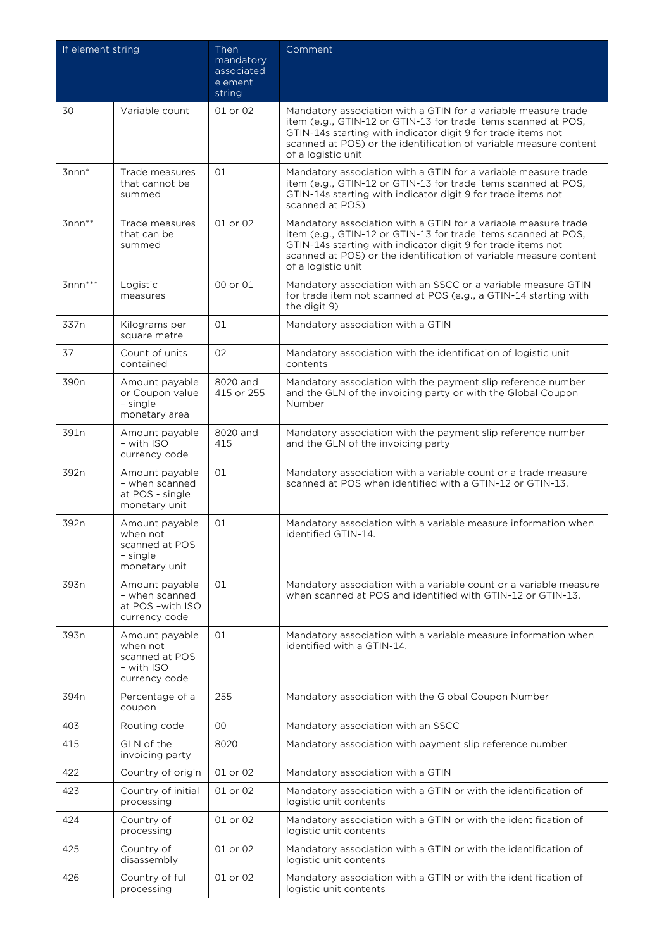| If element string |                                                                             | Then<br>mandatory<br>associated<br>element<br>string | Comment                                                                                                                                                                                                                                                                                     |
|-------------------|-----------------------------------------------------------------------------|------------------------------------------------------|---------------------------------------------------------------------------------------------------------------------------------------------------------------------------------------------------------------------------------------------------------------------------------------------|
| 30                | Variable count                                                              | 01 or 02                                             | Mandatory association with a GTIN for a variable measure trade<br>item (e.g., GTIN-12 or GTIN-13 for trade items scanned at POS,<br>GTIN-14s starting with indicator digit 9 for trade items not<br>scanned at POS) or the identification of variable measure content<br>of a logistic unit |
| $3$ nnn $*$       | Trade measures<br>that cannot be<br>summed                                  | 01                                                   | Mandatory association with a GTIN for a variable measure trade<br>item (e.g., GTIN-12 or GTIN-13 for trade items scanned at POS,<br>GTIN-14s starting with indicator digit 9 for trade items not<br>scanned at POS)                                                                         |
| $3$ nnn $**$      | Trade measures<br>that can be<br>summed                                     | 01 or 02                                             | Mandatory association with a GTIN for a variable measure trade<br>item (e.g., GTIN-12 or GTIN-13 for trade items scanned at POS,<br>GTIN-14s starting with indicator digit 9 for trade items not<br>scanned at POS) or the identification of variable measure content<br>of a logistic unit |
| $3$ nnn***        | Logistic<br>measures                                                        | 00 or 01                                             | Mandatory association with an SSCC or a variable measure GTIN<br>for trade item not scanned at POS (e.g., a GTIN-14 starting with<br>the digit 9)                                                                                                                                           |
| 337n              | Kilograms per<br>square metre                                               | 01                                                   | Mandatory association with a GTIN                                                                                                                                                                                                                                                           |
| 37                | Count of units<br>contained                                                 | 02                                                   | Mandatory association with the identification of logistic unit<br>contents                                                                                                                                                                                                                  |
| 390 <sub>n</sub>  | Amount payable<br>or Coupon value<br>- single<br>monetary area              | 8020 and<br>415 or 255                               | Mandatory association with the payment slip reference number<br>and the GLN of the invoicing party or with the Global Coupon<br>Number                                                                                                                                                      |
| 391n              | Amount payable<br>$-$ with ISO<br>currency code                             | 8020 and<br>415                                      | Mandatory association with the payment slip reference number<br>and the GLN of the invoicing party                                                                                                                                                                                          |
| 392n              | Amount payable<br>- when scanned<br>at POS - single<br>monetary unit        | 01                                                   | Mandatory association with a variable count or a trade measure<br>scanned at POS when identified with a GTIN-12 or GTIN-13.                                                                                                                                                                 |
| 392n              | Amount payable<br>when not<br>scanned at POS<br>- single<br>monetary unit   | 01                                                   | Mandatory association with a variable measure information when<br>identified GTIN-14.                                                                                                                                                                                                       |
| 393n              | Amount payable<br>- when scanned<br>at POS -with ISO<br>currency code       | 01                                                   | Mandatory association with a variable count or a variable measure<br>when scanned at POS and identified with GTIN-12 or GTIN-13.                                                                                                                                                            |
| 393n              | Amount payable<br>when not<br>scanned at POS<br>- with ISO<br>currency code | 01                                                   | Mandatory association with a variable measure information when<br>identified with a GTIN-14.                                                                                                                                                                                                |
| 394 <sub>n</sub>  | Percentage of a<br>coupon                                                   | 255                                                  | Mandatory association with the Global Coupon Number                                                                                                                                                                                                                                         |
| 403               | Routing code                                                                | 00                                                   | Mandatory association with an SSCC                                                                                                                                                                                                                                                          |
| 415               | GLN of the<br>invoicing party                                               | 8020                                                 | Mandatory association with payment slip reference number                                                                                                                                                                                                                                    |
| 422               | Country of origin                                                           | 01 or 02                                             | Mandatory association with a GTIN                                                                                                                                                                                                                                                           |
| 423               | Country of initial<br>processing                                            | 01 or 02                                             | Mandatory association with a GTIN or with the identification of<br>logistic unit contents                                                                                                                                                                                                   |
| 424               | Country of<br>processing                                                    | 01 or 02                                             | Mandatory association with a GTIN or with the identification of<br>logistic unit contents                                                                                                                                                                                                   |
| 425               | Country of<br>disassembly                                                   | 01 or 02                                             | Mandatory association with a GTIN or with the identification of<br>logistic unit contents                                                                                                                                                                                                   |
| 426               | Country of full<br>processing                                               | 01 or 02                                             | Mandatory association with a GTIN or with the identification of<br>logistic unit contents                                                                                                                                                                                                   |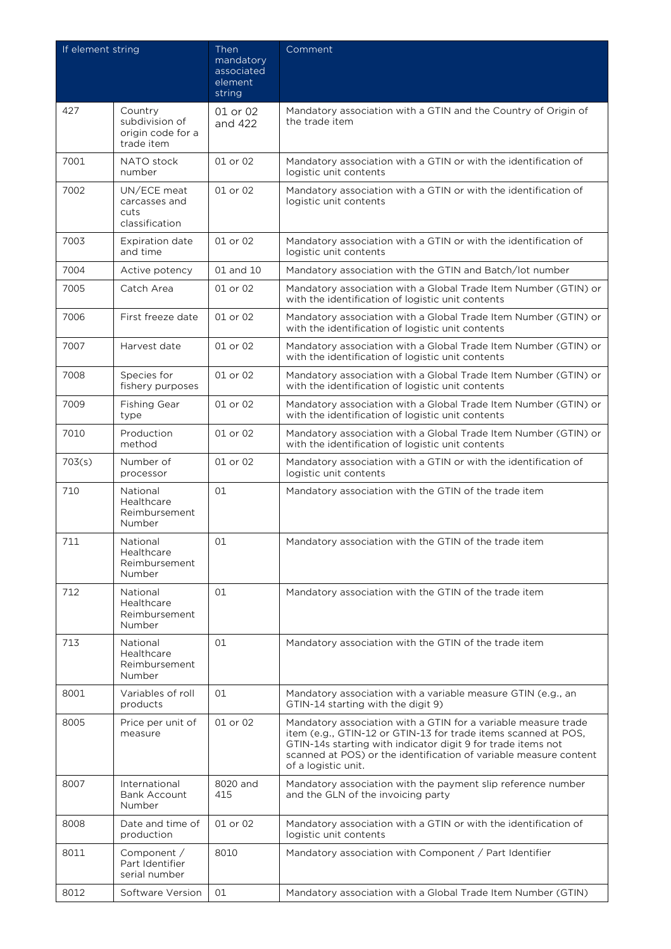| If element string |                                                              | Then<br>mandatory<br>associated<br>element<br>string | Comment                                                                                                                                                                                                                                                                                      |
|-------------------|--------------------------------------------------------------|------------------------------------------------------|----------------------------------------------------------------------------------------------------------------------------------------------------------------------------------------------------------------------------------------------------------------------------------------------|
| 427               | Country<br>subdivision of<br>origin code for a<br>trade item | 01 or 02<br>and 422                                  | Mandatory association with a GTIN and the Country of Origin of<br>the trade item                                                                                                                                                                                                             |
| 7001              | NATO stock<br>number                                         | 01 or 02                                             | Mandatory association with a GTIN or with the identification of<br>logistic unit contents                                                                                                                                                                                                    |
| 7002              | UN/ECE meat<br>carcasses and<br>cuts<br>classification       | 01 or 02                                             | Mandatory association with a GTIN or with the identification of<br>logistic unit contents                                                                                                                                                                                                    |
| 7003              | <b>Expiration date</b><br>and time                           | 01 or 02                                             | Mandatory association with a GTIN or with the identification of<br>logistic unit contents                                                                                                                                                                                                    |
| 7004              | Active potency                                               | 01 and 10                                            | Mandatory association with the GTIN and Batch/lot number                                                                                                                                                                                                                                     |
| 7005              | Catch Area                                                   | 01 or 02                                             | Mandatory association with a Global Trade Item Number (GTIN) or<br>with the identification of logistic unit contents                                                                                                                                                                         |
| 7006              | First freeze date                                            | 01 or 02                                             | Mandatory association with a Global Trade Item Number (GTIN) or<br>with the identification of logistic unit contents                                                                                                                                                                         |
| 7007              | Harvest date                                                 | 01 or 02                                             | Mandatory association with a Global Trade Item Number (GTIN) or<br>with the identification of logistic unit contents                                                                                                                                                                         |
| 7008              | Species for<br>fishery purposes                              | 01 or 02                                             | Mandatory association with a Global Trade Item Number (GTIN) or<br>with the identification of logistic unit contents                                                                                                                                                                         |
| 7009              | <b>Fishing Gear</b><br>type                                  | 01 or 02                                             | Mandatory association with a Global Trade Item Number (GTIN) or<br>with the identification of logistic unit contents                                                                                                                                                                         |
| 7010              | Production<br>method                                         | 01 or 02                                             | Mandatory association with a Global Trade Item Number (GTIN) or<br>with the identification of logistic unit contents                                                                                                                                                                         |
| 703(s)            | Number of<br>processor                                       | 01 or 02                                             | Mandatory association with a GTIN or with the identification of<br>logistic unit contents                                                                                                                                                                                                    |
| 710               | National<br>Healthcare<br>Reimbursement<br>Number            | 01                                                   | Mandatory association with the GTIN of the trade item                                                                                                                                                                                                                                        |
| 711               | National<br>Healthcare<br>Reimbursement<br>Number            | 01                                                   | Mandatory association with the GTIN of the trade item                                                                                                                                                                                                                                        |
| 712               | National<br>Healthcare<br>Reimbursement<br>Number            | 01                                                   | Mandatory association with the GTIN of the trade item                                                                                                                                                                                                                                        |
| 713               | National<br>Healthcare<br>Reimbursement<br>Number            | 01                                                   | Mandatory association with the GTIN of the trade item                                                                                                                                                                                                                                        |
| 8001              | Variables of roll<br>products                                | 01                                                   | Mandatory association with a variable measure GTIN (e.g., an<br>GTIN-14 starting with the digit 9)                                                                                                                                                                                           |
| 8005              | Price per unit of<br>measure                                 | 01 or 02                                             | Mandatory association with a GTIN for a variable measure trade<br>item (e.g., GTIN-12 or GTIN-13 for trade items scanned at POS,<br>GTIN-14s starting with indicator digit 9 for trade items not<br>scanned at POS) or the identification of variable measure content<br>of a logistic unit. |
| 8007              | International<br>Bank Account<br>Number                      | 8020 and<br>415                                      | Mandatory association with the payment slip reference number<br>and the GLN of the invoicing party                                                                                                                                                                                           |
| 8008              | Date and time of<br>production                               | 01 or 02                                             | Mandatory association with a GTIN or with the identification of<br>logistic unit contents                                                                                                                                                                                                    |
| 8011              | Component /<br>Part Identifier<br>serial number              | 8010                                                 | Mandatory association with Component / Part Identifier                                                                                                                                                                                                                                       |
| 8012              | Software Version                                             | 01                                                   | Mandatory association with a Global Trade Item Number (GTIN)                                                                                                                                                                                                                                 |